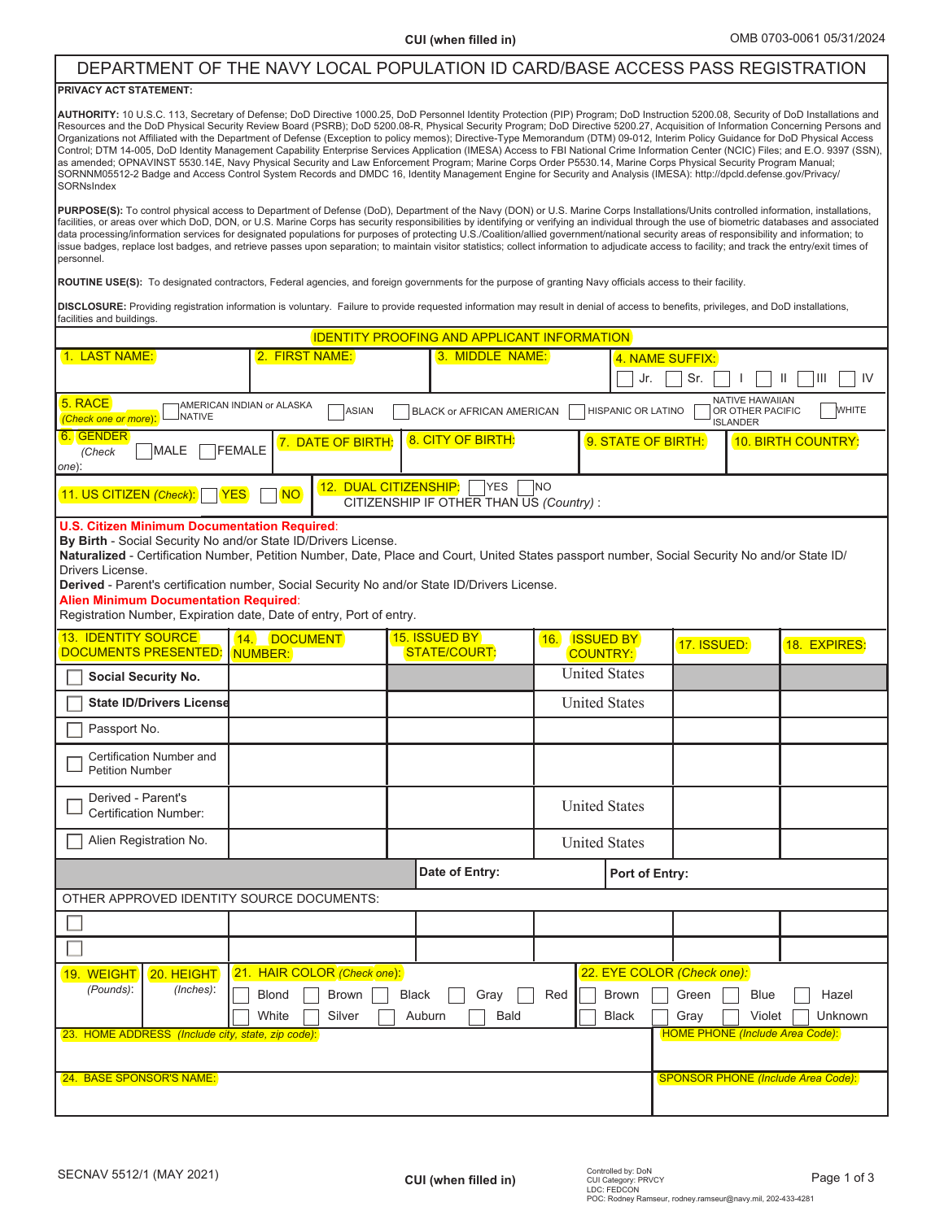## DEPARTMENT OF THE NAVY LOCAL POPULATION ID CARD/BASE ACCESS PASS REGISTRATION

## **PRIVACY ACT STATEMENT:**

**AUTHORITY:** 10 U.S.C. 113, Secretary of Defense; DoD Directive 1000.25, DoD Personnel Identity Protection (PIP) Program; DoD Instruction 5200.08, Security of DoD Installations and Resources and the DoD Physical Security Review Board (PSRB); DoD 5200.08-R, Physical Security Program; DoD Directive 5200.27, Acquisition of Information Concerning Persons and Organizations not Affiliated with the Department of Defense (Exception to policy memos); Directive-Type Memorandum (DTM) 09-012, Interim Policy Guidance for DoD Physical Access Control; DTM 14-005, DoD Identity Management Capability Enterprise Services Application (IMESA) Access to FBI National Crime Information Center (NCIC) Files; and E.O. 9397 (SSN), as amended; OPNAVINST 5530.14E, Navy Physical Security and Law Enforcement Program; Marine Corps Order P5530.14, Marine Corps Physical Security Program Manual; SORNNM05512-2 Badge and Access Control System Records and DMDC 16, Identity Management Engine for Security and Analysis (IMESA): http://dpcld.defense.gov/Privacy/ SORNsIndex

**PURPOSE(S):** To control physical access to Department of Defense (DoD), Department of the Navy (DON) or U.S. Marine Corps Installations/Units controlled information, installations, facilities, or areas over which DoD, DON, or U.S. Marine Corps has security responsibilities by identifying or verifying an individual through the use of biometric databases and associated data processing/information services for designated populations for purposes of protecting U.S./Coalition/allied government/national security areas of responsibility and information; to issue badges, replace lost badges, and retrieve passes upon separation; to maintain visitor statistics; collect information to adjudicate access to facility; and track the entry/exit times of personnel.

**ROUTINE USE(S):** To designated contractors, Federal agencies, and foreign governments for the purpose of granting Navy officials access to their facility.

**DISCLOSURE:** Providing registration information is voluntary. Failure to provide requested information may result in denial of access to benefits, privileges, and DoD installations, facilities and buildings.

| <b>IDENTITY PROOFING AND APPLICANT INFORMATION</b>                                                                                                                                                                                                                                                                                                                                                                                                                                                                 |                                                                                                                                                                                                                                                                                                                                                                   |                                      |                                    |                    |  |                                           |  |  |
|--------------------------------------------------------------------------------------------------------------------------------------------------------------------------------------------------------------------------------------------------------------------------------------------------------------------------------------------------------------------------------------------------------------------------------------------------------------------------------------------------------------------|-------------------------------------------------------------------------------------------------------------------------------------------------------------------------------------------------------------------------------------------------------------------------------------------------------------------------------------------------------------------|--------------------------------------|------------------------------------|--------------------|--|-------------------------------------------|--|--|
| 1. LAST NAME:                                                                                                                                                                                                                                                                                                                                                                                                                                                                                                      | 2. FIRST NAME:                                                                                                                                                                                                                                                                                                                                                    |                                      | 3. MIDDLE NAME:<br>4. NAME SUFFIX: |                    |  |                                           |  |  |
|                                                                                                                                                                                                                                                                                                                                                                                                                                                                                                                    |                                                                                                                                                                                                                                                                                                                                                                   |                                      |                                    | Jr.<br>Sr.         |  | IV<br>Ш<br>Ш                              |  |  |
| <b>NATIVE HAWAIIAN</b><br>5. RACE<br>AMERICAN INDIAN or ALASKA<br>WHITE<br>BLACK or AFRICAN AMERICAN<br>HISPANIC OR LATINO<br>ASIAN<br>OR OTHER PACIFIC<br><b>NATIVE</b><br>(Check one or more):<br><b>ISLANDER</b>                                                                                                                                                                                                                                                                                                |                                                                                                                                                                                                                                                                                                                                                                   |                                      |                                    |                    |  |                                           |  |  |
| <b>6. GENDER</b><br>MALE<br>(Check<br>$one)$ :                                                                                                                                                                                                                                                                                                                                                                                                                                                                     | 7. DATE OF BIRTH:<br><b>FEMALE</b>                                                                                                                                                                                                                                                                                                                                | 8. CITY OF BIRTH:                    |                                    | 9. STATE OF BIRTH. |  | 10. BIRTH COUNTRY:                        |  |  |
| YES<br><b>NO</b><br>12. DUAL CITIZENSHIP:<br><b>NO</b><br>11. US CITIZEN (Check):<br><b>YES</b><br>CITIZENSHIP IF OTHER THAN US (Country):                                                                                                                                                                                                                                                                                                                                                                         |                                                                                                                                                                                                                                                                                                                                                                   |                                      |                                    |                    |  |                                           |  |  |
| <b>U.S. Citizen Minimum Documentation Required:</b><br>By Birth - Social Security No and/or State ID/Drivers License.<br>Naturalized - Certification Number, Petition Number, Date, Place and Court, United States passport number, Social Security No and/or State ID/<br>Drivers License.<br>Derived - Parent's certification number, Social Security No and/or State ID/Drivers License.<br><b>Alien Minimum Documentation Required:</b><br>Registration Number, Expiration date, Date of entry, Port of entry. |                                                                                                                                                                                                                                                                                                                                                                   |                                      |                                    |                    |  |                                           |  |  |
| <b>13. IDENTITY SOURCE</b><br><b>DOCUMENTS PRESENTED:</b>                                                                                                                                                                                                                                                                                                                                                                                                                                                          | 14. DOCUMENT<br>NUMBER:                                                                                                                                                                                                                                                                                                                                           | 15. ISSUED BY<br><b>STATE/COURT:</b> | 16. ISSUED BY<br><b>COUNTRY:</b>   | 17. ISSUED:        |  | 18. EXPIRES:                              |  |  |
| <b>Social Security No.</b>                                                                                                                                                                                                                                                                                                                                                                                                                                                                                         |                                                                                                                                                                                                                                                                                                                                                                   |                                      | <b>United States</b>               |                    |  |                                           |  |  |
| <b>State ID/Drivers License</b>                                                                                                                                                                                                                                                                                                                                                                                                                                                                                    |                                                                                                                                                                                                                                                                                                                                                                   |                                      | <b>United States</b>               |                    |  |                                           |  |  |
| Passport No.                                                                                                                                                                                                                                                                                                                                                                                                                                                                                                       |                                                                                                                                                                                                                                                                                                                                                                   |                                      |                                    |                    |  |                                           |  |  |
| Certification Number and<br><b>Petition Number</b>                                                                                                                                                                                                                                                                                                                                                                                                                                                                 |                                                                                                                                                                                                                                                                                                                                                                   |                                      |                                    |                    |  |                                           |  |  |
| Derived - Parent's<br>Certification Number:                                                                                                                                                                                                                                                                                                                                                                                                                                                                        |                                                                                                                                                                                                                                                                                                                                                                   |                                      | <b>United States</b>               |                    |  |                                           |  |  |
| Alien Registration No.                                                                                                                                                                                                                                                                                                                                                                                                                                                                                             |                                                                                                                                                                                                                                                                                                                                                                   |                                      | <b>United States</b>               |                    |  |                                           |  |  |
|                                                                                                                                                                                                                                                                                                                                                                                                                                                                                                                    |                                                                                                                                                                                                                                                                                                                                                                   | Date of Entry:                       | Port of Entry:                     |                    |  |                                           |  |  |
| OTHER APPROVED IDENTITY SOURCE DOCUMENTS:                                                                                                                                                                                                                                                                                                                                                                                                                                                                          |                                                                                                                                                                                                                                                                                                                                                                   |                                      |                                    |                    |  |                                           |  |  |
|                                                                                                                                                                                                                                                                                                                                                                                                                                                                                                                    |                                                                                                                                                                                                                                                                                                                                                                   |                                      |                                    |                    |  |                                           |  |  |
|                                                                                                                                                                                                                                                                                                                                                                                                                                                                                                                    |                                                                                                                                                                                                                                                                                                                                                                   |                                      |                                    |                    |  |                                           |  |  |
| 19. WEIGHT<br>20. HEIGHT<br>(Inches):<br>(Pounds):                                                                                                                                                                                                                                                                                                                                                                                                                                                                 | 21. HAIR COLOR (Check one):<br>22. EYE COLOR (Check one):<br><b>Blond</b><br><b>Brown</b><br>Red<br><b>Brown</b><br><b>Blue</b><br><b>Black</b><br>Gray<br>Green<br>Hazel<br>Silver<br>White<br>Auburn<br><b>Bald</b><br><b>Black</b><br>Gray<br>Violet<br>Unknown<br><b>HOME PHONE (Include Area Code):</b><br>23. HOME ADDRESS (Include city, state, zip code): |                                      |                                    |                    |  |                                           |  |  |
|                                                                                                                                                                                                                                                                                                                                                                                                                                                                                                                    |                                                                                                                                                                                                                                                                                                                                                                   |                                      |                                    |                    |  |                                           |  |  |
| 24. BASE SPONSOR'S NAME:                                                                                                                                                                                                                                                                                                                                                                                                                                                                                           |                                                                                                                                                                                                                                                                                                                                                                   |                                      |                                    |                    |  | <b>SPONSOR PHONE (Include Area Code):</b> |  |  |